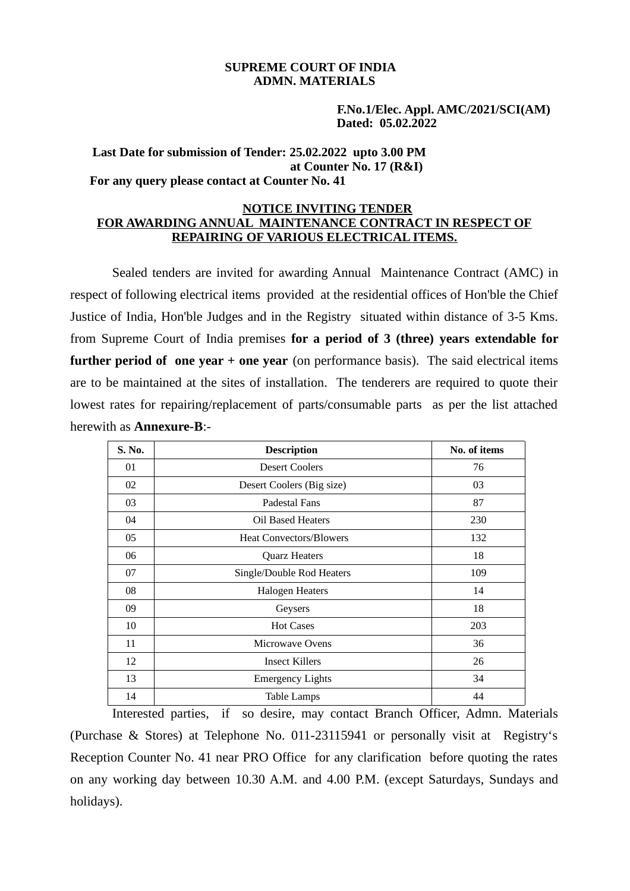### **SUPREME COURT OF INDIA ADMN. MATERIALS**

 **F.No.1/Elec. Appl. AMC/2021/SCI(AM) Dated: 05.02.2022** 

#### **Last Date for submission of Tender: 25.02.2022 upto 3.00 PM at Counter No. 17 (R&I) For any query please contact at Counter No. 41**

#### **NOTICE INVITING TENDER FOR AWARDING ANNUAL MAINTENANCE CONTRACT IN RESPECT OF REPAIRING OF VARIOUS ELECTRICAL ITEMS.**

Sealed tenders are invited for awarding Annual Maintenance Contract (AMC) in respect of following electrical items provided at the residential offices of Hon'ble the Chief Justice of India, Hon'ble Judges and in the Registry situated within distance of 3-5 Kms. from Supreme Court of India premises **for a period of 3 (three) years extendable for further period of one year + one year** (on performance basis). The said electrical items are to be maintained at the sites of installation. The tenderers are required to quote their lowest rates for repairing/replacement of parts/consumable parts as per the list attached herewith as **Annexure-B**:-

| S. No. | <b>Description</b>             | No. of items |
|--------|--------------------------------|--------------|
| 01     | <b>Desert Coolers</b>          | 76           |
| 02     | Desert Coolers (Big size)      | 03           |
| 03     | Padestal Fans                  | 87           |
| 04     | Oil Based Heaters              | 230          |
| 05     | <b>Heat Convectors/Blowers</b> | 132          |
| 06     | <b>Quarz Heaters</b>           | 18           |
| 07     | Single/Double Rod Heaters      | 109          |
| 08     | <b>Halogen Heaters</b>         | 14           |
| 09     | Geysers                        | 18           |
| 10     | <b>Hot Cases</b>               | 203          |
| 11     | <b>Microwave Ovens</b>         | 36           |
| 12     | <b>Insect Killers</b>          | 26           |
| 13     | <b>Emergency Lights</b>        | 34           |
| 14     | <b>Table Lamps</b>             | 44           |

Interested parties, if so desire, may contact Branch Officer, Admn. Materials (Purchase & Stores) at Telephone No. 011-23115941 or personally visit at Registry's Reception Counter No. 41 near PRO Office for any clarification before quoting the rates on any working day between 10.30 A.M. and 4.00 P.M. (except Saturdays, Sundays and holidays).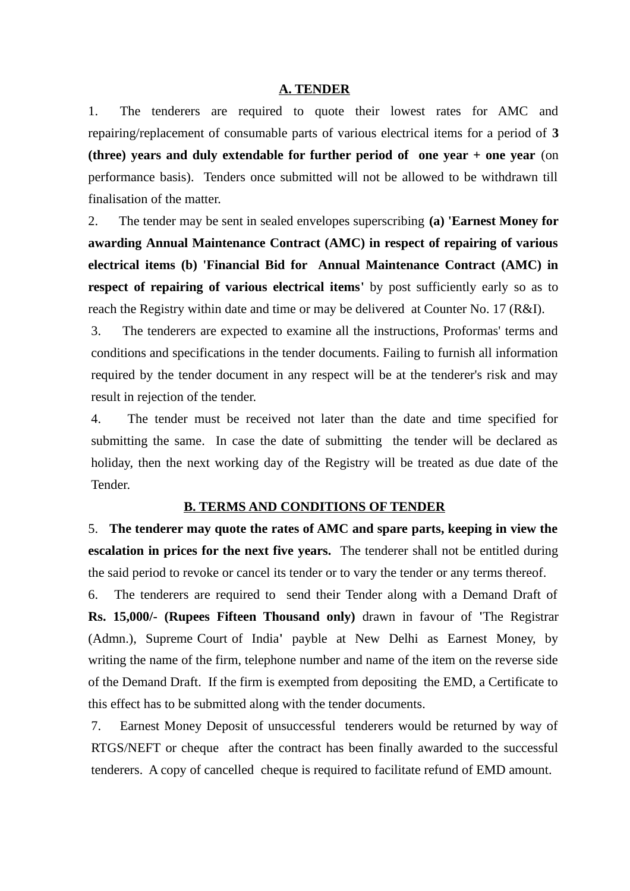#### **A. TENDER**

1. The tenderers are required to quote their lowest rates for AMC and repairing/replacement of consumable parts of various electrical items for a period of **3 (three) years and duly extendable for further period of one year + one year** (on performance basis). Tenders once submitted will not be allowed to be withdrawn till finalisation of the matter.

2. The tender may be sent in sealed envelopes superscribing **(a) 'Earnest Money for awarding Annual Maintenance Contract (AMC) in respect of repairing of various electrical items (b) 'Financial Bid for Annual Maintenance Contract (AMC) in respect of repairing of various electrical items'** by post sufficiently early so as to reach the Registry within date and time or may be delivered at Counter No. 17 (R&I).

3. The tenderers are expected to examine all the instructions, Proformas' terms and conditions and specifications in the tender documents. Failing to furnish all information required by the tender document in any respect will be at the tenderer's risk and may result in rejection of the tender.

4. The tender must be received not later than the date and time specified for submitting the same. In case the date of submitting the tender will be declared as holiday, then the next working day of the Registry will be treated as due date of the Tender.

### **B. TERMS AND CONDITIONS OF TENDER**

5. **The tenderer may quote the rates of AMC and spare parts, keeping in view the escalation in prices for the next five years.** The tenderer shall not be entitled during the said period to revoke or cancel its tender or to vary the tender or any terms thereof.

6. The tenderers are required to send their Tender along with a Demand Draft of **Rs. 15,000/- (Rupees Fifteen Thousand only)** drawn in favour of **'**The Registrar (Admn.), Supreme Court of India**'** payble at New Delhi as Earnest Money, by writing the name of the firm, telephone number and name of the item on the reverse side of the Demand Draft. If the firm is exempted from depositing the EMD, a Certificate to this effect has to be submitted along with the tender documents.

7. Earnest Money Deposit of unsuccessful tenderers would be returned by way of RTGS/NEFT or cheque after the contract has been finally awarded to the successful tenderers. A copy of cancelled cheque is required to facilitate refund of EMD amount.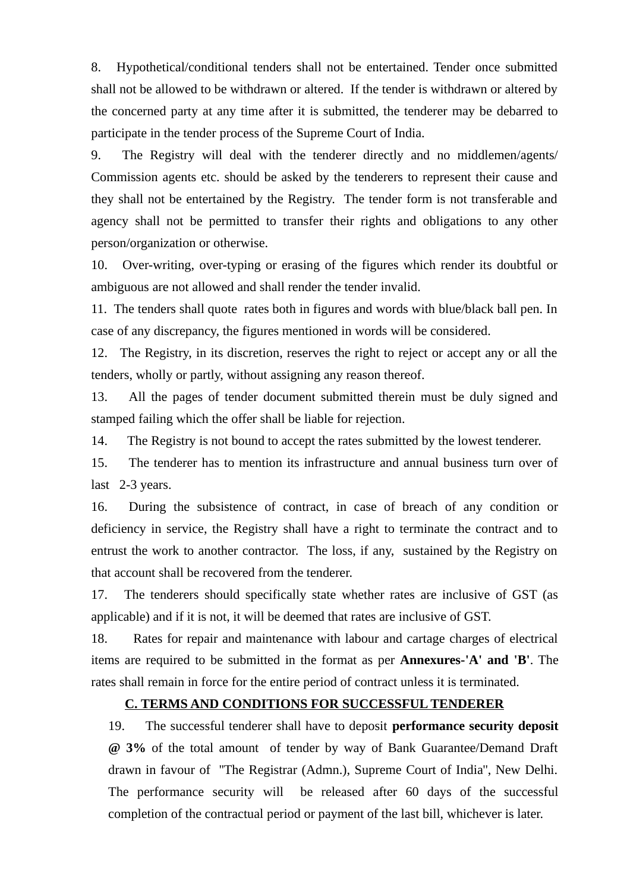8. Hypothetical/conditional tenders shall not be entertained. Tender once submitted shall not be allowed to be withdrawn or altered. If the tender is withdrawn or altered by the concerned party at any time after it is submitted, the tenderer may be debarred to participate in the tender process of the Supreme Court of India.

9. The Registry will deal with the tenderer directly and no middlemen/agents/ Commission agents etc. should be asked by the tenderers to represent their cause and they shall not be entertained by the Registry. The tender form is not transferable and agency shall not be permitted to transfer their rights and obligations to any other person/organization or otherwise.

10. Over-writing, over-typing or erasing of the figures which render its doubtful or ambiguous are not allowed and shall render the tender invalid.

11. The tenders shall quote rates both in figures and words with blue/black ball pen. In case of any discrepancy, the figures mentioned in words will be considered.

12. The Registry, in its discretion, reserves the right to reject or accept any or all the tenders, wholly or partly, without assigning any reason thereof.

13. All the pages of tender document submitted therein must be duly signed and stamped failing which the offer shall be liable for rejection.

14. The Registry is not bound to accept the rates submitted by the lowest tenderer.

15. The tenderer has to mention its infrastructure and annual business turn over of last 2-3 years.

16. During the subsistence of contract, in case of breach of any condition or deficiency in service, the Registry shall have a right to terminate the contract and to entrust the work to another contractor. The loss, if any, sustained by the Registry on that account shall be recovered from the tenderer.

17. The tenderers should specifically state whether rates are inclusive of GST (as applicable) and if it is not, it will be deemed that rates are inclusive of GST.

18. Rates for repair and maintenance with labour and cartage charges of electrical items are required to be submitted in the format as per **Annexures-'A' and 'B'**. The rates shall remain in force for the entire period of contract unless it is terminated.

### **C. TERMS AND CONDITIONS FOR SUCCESSFUL TENDERER**

19. The successful tenderer shall have to deposit **performance security deposit @ 3%** of the total amount of tender by way of Bank Guarantee/Demand Draft drawn in favour of ''The Registrar (Admn.), Supreme Court of India'', New Delhi. The performance security will be released after 60 days of the successful completion of the contractual period or payment of the last bill, whichever is later.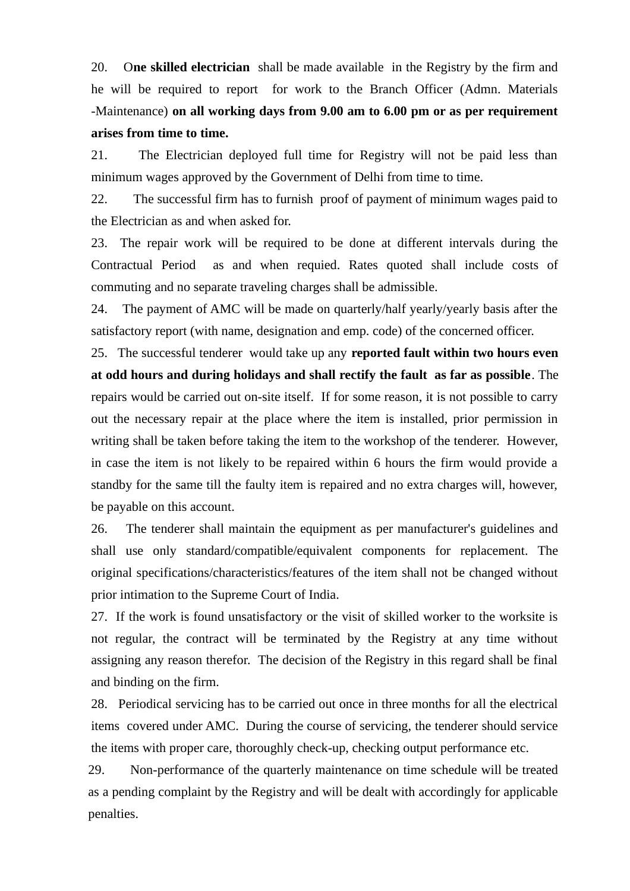20. O**ne skilled electrician** shall be made available in the Registry by the firm and he will be required to report for work to the Branch Officer (Admn. Materials -Maintenance) **on all working days from 9.00 am to 6.00 pm or as per requirement arises from time to time.**

21. The Electrician deployed full time for Registry will not be paid less than minimum wages approved by the Government of Delhi from time to time.

22. The successful firm has to furnish proof of payment of minimum wages paid to the Electrician as and when asked for.

23. The repair work will be required to be done at different intervals during the Contractual Period as and when requied. Rates quoted shall include costs of commuting and no separate traveling charges shall be admissible.

24. The payment of AMC will be made on quarterly/half yearly/yearly basis after the satisfactory report (with name, designation and emp. code) of the concerned officer.

25. The successful tenderer would take up any **reported fault within two hours even at odd hours and during holidays and shall rectify the fault as far as possible**. The repairs would be carried out on-site itself. If for some reason, it is not possible to carry out the necessary repair at the place where the item is installed, prior permission in writing shall be taken before taking the item to the workshop of the tenderer. However, in case the item is not likely to be repaired within 6 hours the firm would provide a standby for the same till the faulty item is repaired and no extra charges will, however, be payable on this account.

26. The tenderer shall maintain the equipment as per manufacturer's guidelines and shall use only standard/compatible/equivalent components for replacement. The original specifications/characteristics/features of the item shall not be changed without prior intimation to the Supreme Court of India.

27. If the work is found unsatisfactory or the visit of skilled worker to the worksite is not regular, the contract will be terminated by the Registry at any time without assigning any reason therefor. The decision of the Registry in this regard shall be final and binding on the firm.

28. Periodical servicing has to be carried out once in three months for all the electrical items covered under AMC. During the course of servicing, the tenderer should service the items with proper care, thoroughly check-up, checking output performance etc.

29. Non-performance of the quarterly maintenance on time schedule will be treated as a pending complaint by the Registry and will be dealt with accordingly for applicable penalties.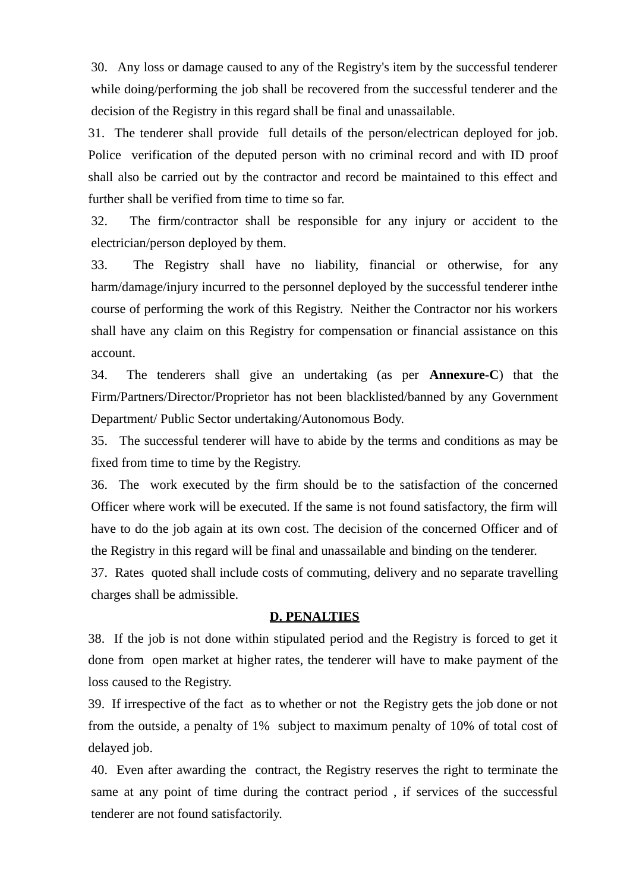30. Any loss or damage caused to any of the Registry's item by the successful tenderer while doing/performing the job shall be recovered from the successful tenderer and the decision of the Registry in this regard shall be final and unassailable.

31. The tenderer shall provide full details of the person/electrican deployed for job. Police verification of the deputed person with no criminal record and with ID proof shall also be carried out by the contractor and record be maintained to this effect and further shall be verified from time to time so far.

32. The firm/contractor shall be responsible for any injury or accident to the electrician/person deployed by them.

33. The Registry shall have no liability, financial or otherwise, for any harm/damage/injury incurred to the personnel deployed by the successful tenderer inthe course of performing the work of this Registry. Neither the Contractor nor his workers shall have any claim on this Registry for compensation or financial assistance on this account.

34. The tenderers shall give an undertaking (as per **Annexure-C**) that the Firm/Partners/Director/Proprietor has not been blacklisted/banned by any Government Department/ Public Sector undertaking/Autonomous Body.

35. The successful tenderer will have to abide by the terms and conditions as may be fixed from time to time by the Registry.

36. The work executed by the firm should be to the satisfaction of the concerned Officer where work will be executed. If the same is not found satisfactory, the firm will have to do the job again at its own cost. The decision of the concerned Officer and of the Registry in this regard will be final and unassailable and binding on the tenderer.

37. Rates quoted shall include costs of commuting, delivery and no separate travelling charges shall be admissible.

### **D. PENALTIES**

38. If the job is not done within stipulated period and the Registry is forced to get it done from open market at higher rates, the tenderer will have to make payment of the loss caused to the Registry.

39. If irrespective of the fact as to whether or not the Registry gets the job done or not from the outside, a penalty of 1% subject to maximum penalty of 10% of total cost of delayed job.

40. Even after awarding the contract, the Registry reserves the right to terminate the same at any point of time during the contract period , if services of the successful tenderer are not found satisfactorily.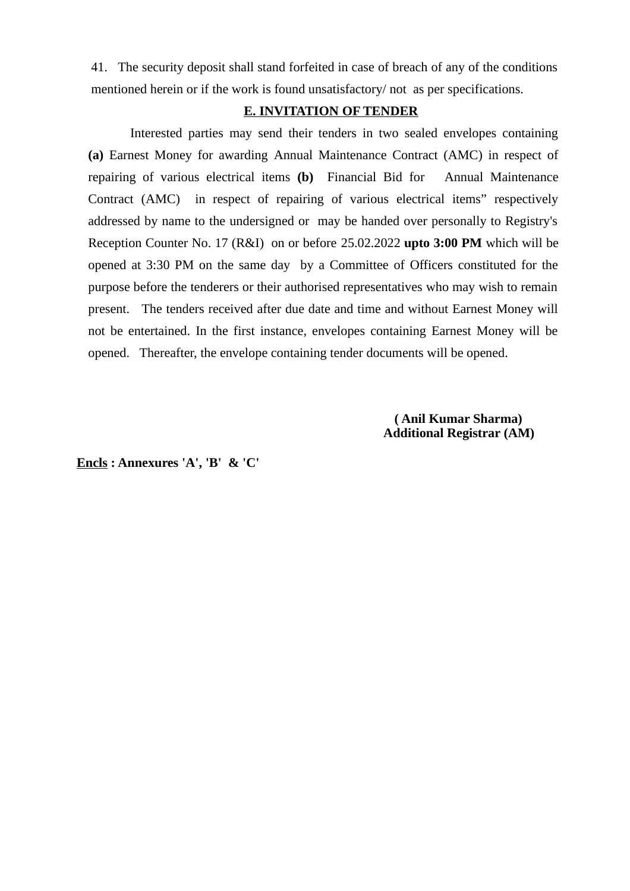41. The security deposit shall stand forfeited in case of breach of any of the conditions mentioned herein or if the work is found unsatisfactory/ not as per specifications.

### **E. INVITATION OF TENDER**

Interested parties may send their tenders in two sealed envelopes containing **(a)** Earnest Money for awarding Annual Maintenance Contract (AMC) in respect of repairing of various electrical items **(b)** Financial Bid for Annual Maintenance Contract (AMC) in respect of repairing of various electrical items" respectively addressed by name to the undersigned or may be handed over personally to Registry's Reception Counter No. 17 (R&I) on or before 25.02.2022 **upto 3:00 PM** which will be opened at 3:30 PM on the same day by a Committee of Officers constituted for the purpose before the tenderers or their authorised representatives who may wish to remain present. The tenders received after due date and time and without Earnest Money will not be entertained. In the first instance, envelopes containing Earnest Money will be opened. Thereafter, the envelope containing tender documents will be opened.

> **( Anil Kumar Sharma) Additional Registrar (AM)**

**Encls : Annexures 'A', 'B' & 'C'**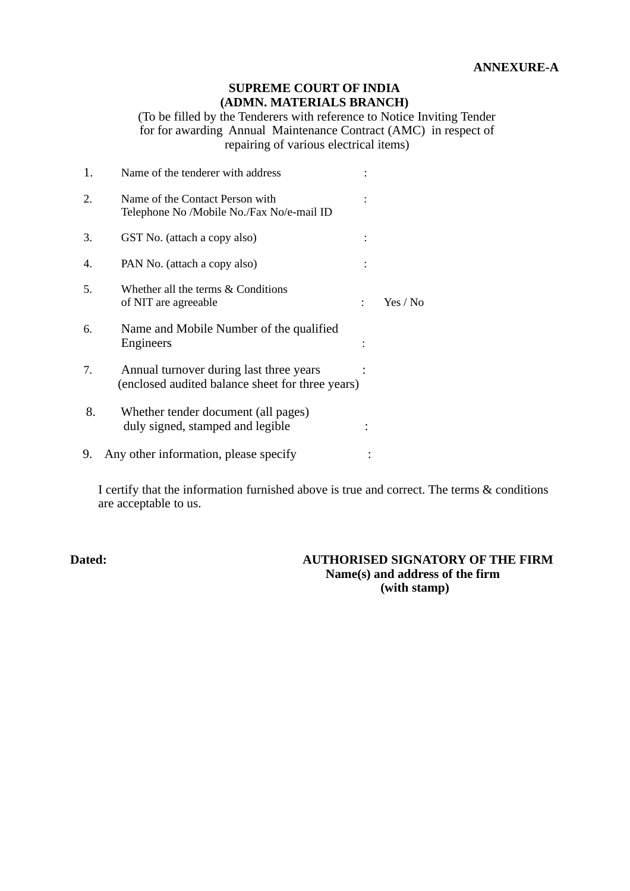### **SUPREME COURT OF INDIA (ADMN. MATERIALS BRANCH)**

(To be filled by the Tenderers with reference to Notice Inviting Tender for for awarding Annual Maintenance Contract (AMC) in respect of repairing of various electrical items)

| 1. | Name of the tenderer with address                                                           |                |          |
|----|---------------------------------------------------------------------------------------------|----------------|----------|
| 2. | Name of the Contact Person with<br>Telephone No /Mobile No./Fax No/e-mail ID                |                |          |
| 3. | GST No. (attach a copy also)                                                                |                |          |
| 4. | PAN No. (attach a copy also)                                                                |                |          |
| 5. | Whether all the terms & Conditions<br>of NIT are agreeable                                  | $\ddot{\cdot}$ | Yes / No |
| 6. | Name and Mobile Number of the qualified<br><b>Engineers</b>                                 |                |          |
| 7. | Annual turnover during last three years<br>(enclosed audited balance sheet for three years) |                |          |
| 8. | Whether tender document (all pages)<br>duly signed, stamped and legible                     |                |          |
| 9. | Any other information, please specify                                                       |                |          |
|    |                                                                                             |                |          |

I certify that the information furnished above is true and correct. The terms & conditions are acceptable to us.

#### **Dated: AUTHORISED SIGNATORY OF THE FIRM Name(s) and address of the firm (with stamp)**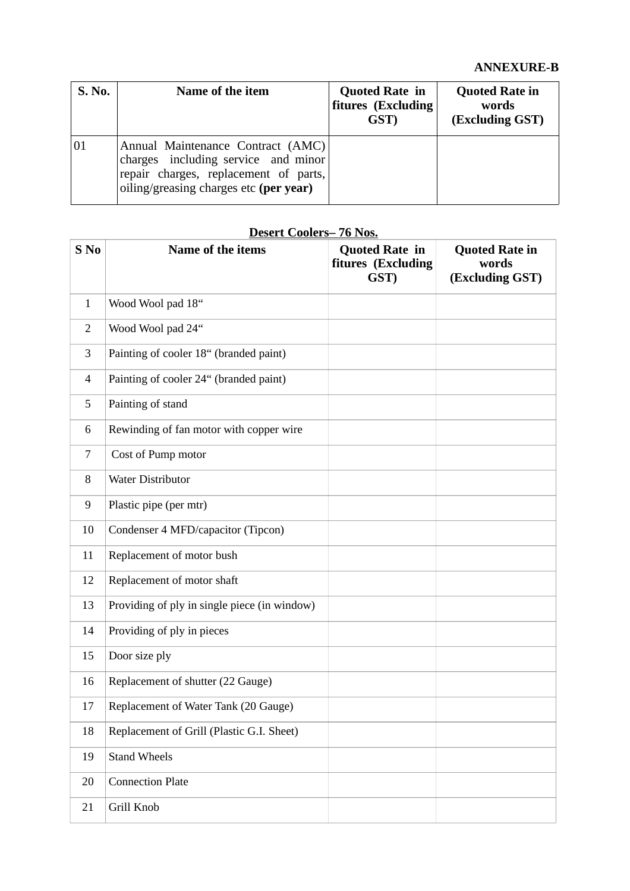| S. No. | Name of the item                                                                                                                                            | <b>Quoted Rate in</b><br>fitures (Excluding<br>GST) | <b>Quoted Rate in</b><br>words<br>(Excluding GST) |
|--------|-------------------------------------------------------------------------------------------------------------------------------------------------------------|-----------------------------------------------------|---------------------------------------------------|
| 01     | Annual Maintenance Contract (AMC)<br>charges including service and minor<br>repair charges, replacement of parts,<br>oiling/greasing charges etc (per year) |                                                     |                                                   |

## **Desert Coolers– 76 Nos.**

| S No         | Name of the items                            | <b>Quoted Rate in</b><br>fitures (Excluding<br>GST) | <b>Quoted Rate in</b><br>words<br>(Excluding GST) |
|--------------|----------------------------------------------|-----------------------------------------------------|---------------------------------------------------|
| $\mathbf{1}$ | Wood Wool pad 18"                            |                                                     |                                                   |
| 2            | Wood Wool pad 24"                            |                                                     |                                                   |
| 3            | Painting of cooler 18" (branded paint)       |                                                     |                                                   |
| 4            | Painting of cooler 24" (branded paint)       |                                                     |                                                   |
| 5            | Painting of stand                            |                                                     |                                                   |
| 6            | Rewinding of fan motor with copper wire      |                                                     |                                                   |
| 7            | Cost of Pump motor                           |                                                     |                                                   |
| 8            | <b>Water Distributor</b>                     |                                                     |                                                   |
| 9            | Plastic pipe (per mtr)                       |                                                     |                                                   |
| 10           | Condenser 4 MFD/capacitor (Tipcon)           |                                                     |                                                   |
| 11           | Replacement of motor bush                    |                                                     |                                                   |
| 12           | Replacement of motor shaft                   |                                                     |                                                   |
| 13           | Providing of ply in single piece (in window) |                                                     |                                                   |
| 14           | Providing of ply in pieces                   |                                                     |                                                   |
| 15           | Door size ply                                |                                                     |                                                   |
| 16           | Replacement of shutter (22 Gauge)            |                                                     |                                                   |
| 17           | Replacement of Water Tank (20 Gauge)         |                                                     |                                                   |
| 18           | Replacement of Grill (Plastic G.I. Sheet)    |                                                     |                                                   |
| 19           | <b>Stand Wheels</b>                          |                                                     |                                                   |
| 20           | <b>Connection Plate</b>                      |                                                     |                                                   |
| 21           | Grill Knob                                   |                                                     |                                                   |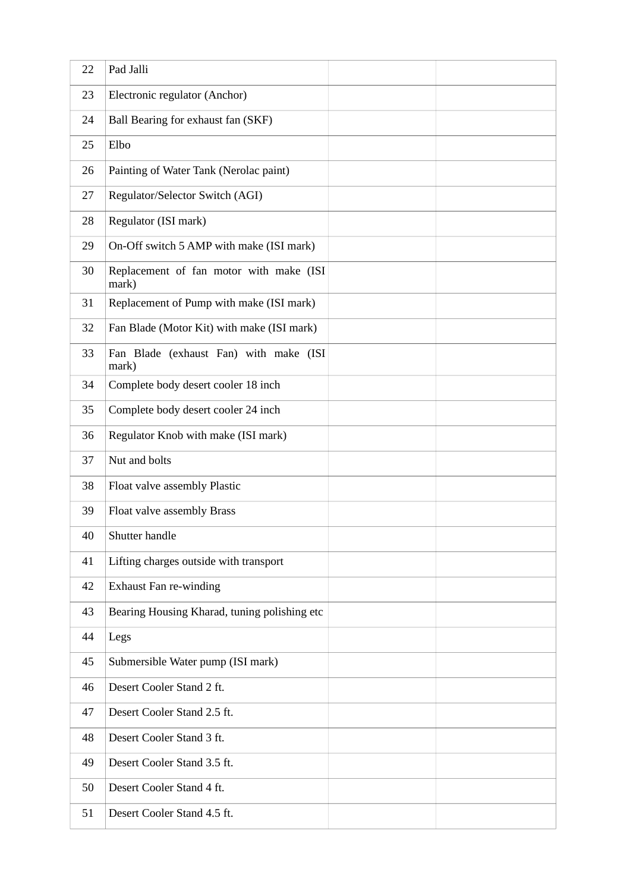| 22 | Pad Jalli                                        |  |
|----|--------------------------------------------------|--|
| 23 | Electronic regulator (Anchor)                    |  |
| 24 | Ball Bearing for exhaust fan (SKF)               |  |
| 25 | Elbo                                             |  |
| 26 | Painting of Water Tank (Nerolac paint)           |  |
| 27 | Regulator/Selector Switch (AGI)                  |  |
| 28 | Regulator (ISI mark)                             |  |
| 29 | On-Off switch 5 AMP with make (ISI mark)         |  |
| 30 | Replacement of fan motor with make (ISI<br>mark) |  |
| 31 | Replacement of Pump with make (ISI mark)         |  |
| 32 | Fan Blade (Motor Kit) with make (ISI mark)       |  |
| 33 | Fan Blade (exhaust Fan) with make (ISI<br>mark)  |  |
| 34 | Complete body desert cooler 18 inch              |  |
| 35 | Complete body desert cooler 24 inch              |  |
| 36 | Regulator Knob with make (ISI mark)              |  |
| 37 | Nut and bolts                                    |  |
| 38 | Float valve assembly Plastic                     |  |
| 39 | Float valve assembly Brass                       |  |
| 40 | Shutter handle                                   |  |
| 41 | Lifting charges outside with transport           |  |
| 42 | <b>Exhaust Fan re-winding</b>                    |  |
| 43 | Bearing Housing Kharad, tuning polishing etc     |  |
| 44 | Legs                                             |  |
| 45 | Submersible Water pump (ISI mark)                |  |
| 46 | Desert Cooler Stand 2 ft.                        |  |
| 47 | Desert Cooler Stand 2.5 ft.                      |  |
| 48 | Desert Cooler Stand 3 ft.                        |  |
| 49 | Desert Cooler Stand 3.5 ft.                      |  |
| 50 | Desert Cooler Stand 4 ft.                        |  |
| 51 | Desert Cooler Stand 4.5 ft.                      |  |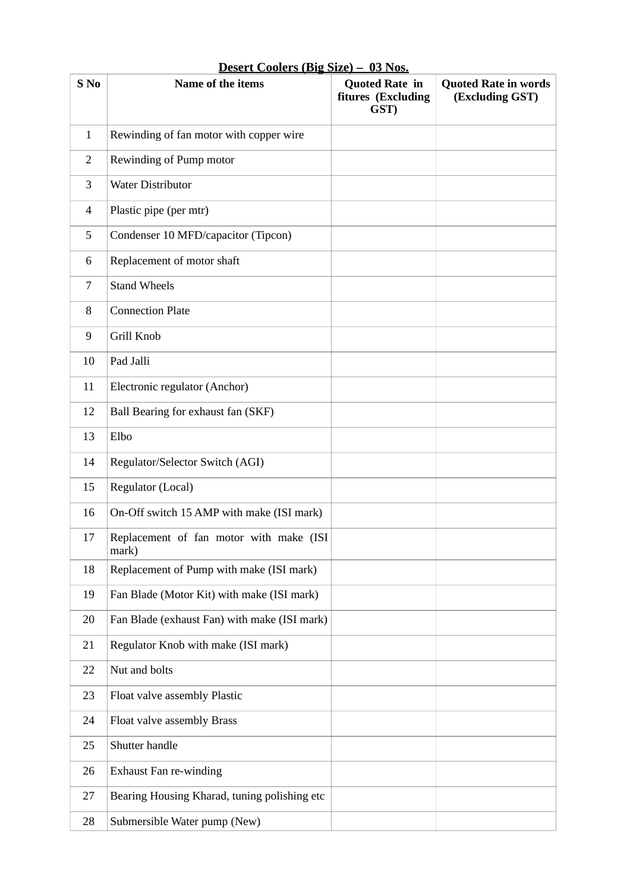| Desert Coolers (Big Size) - 03 Nos. |                                                  |                                                     |                                                |
|-------------------------------------|--------------------------------------------------|-----------------------------------------------------|------------------------------------------------|
| S <sub>No</sub>                     | Name of the items                                | <b>Quoted Rate in</b><br>fitures (Excluding<br>GST) | <b>Quoted Rate in words</b><br>(Excluding GST) |
| $\mathbf{1}$                        | Rewinding of fan motor with copper wire          |                                                     |                                                |
| 2                                   | Rewinding of Pump motor                          |                                                     |                                                |
| 3                                   | <b>Water Distributor</b>                         |                                                     |                                                |
| 4                                   | Plastic pipe (per mtr)                           |                                                     |                                                |
| 5                                   | Condenser 10 MFD/capacitor (Tipcon)              |                                                     |                                                |
| 6                                   | Replacement of motor shaft                       |                                                     |                                                |
| 7                                   | <b>Stand Wheels</b>                              |                                                     |                                                |
| 8                                   | <b>Connection Plate</b>                          |                                                     |                                                |
| 9                                   | Grill Knob                                       |                                                     |                                                |
| 10                                  | Pad Jalli                                        |                                                     |                                                |
| 11                                  | Electronic regulator (Anchor)                    |                                                     |                                                |
| 12                                  | Ball Bearing for exhaust fan (SKF)               |                                                     |                                                |
| 13                                  | Elbo                                             |                                                     |                                                |
| 14                                  | Regulator/Selector Switch (AGI)                  |                                                     |                                                |
| 15                                  | Regulator (Local)                                |                                                     |                                                |
| 16                                  | On-Off switch 15 AMP with make (ISI mark)        |                                                     |                                                |
| 17                                  | Replacement of fan motor with make (ISI<br>mark) |                                                     |                                                |
| 18                                  | Replacement of Pump with make (ISI mark)         |                                                     |                                                |
| 19                                  | Fan Blade (Motor Kit) with make (ISI mark)       |                                                     |                                                |
| 20                                  | Fan Blade (exhaust Fan) with make (ISI mark)     |                                                     |                                                |
| 21                                  | Regulator Knob with make (ISI mark)              |                                                     |                                                |
| 22                                  | Nut and bolts                                    |                                                     |                                                |
| 23                                  | Float valve assembly Plastic                     |                                                     |                                                |
| 24                                  | Float valve assembly Brass                       |                                                     |                                                |
| 25                                  | Shutter handle                                   |                                                     |                                                |
| 26                                  | <b>Exhaust Fan re-winding</b>                    |                                                     |                                                |
| 27                                  | Bearing Housing Kharad, tuning polishing etc     |                                                     |                                                |
| 28                                  | Submersible Water pump (New)                     |                                                     |                                                |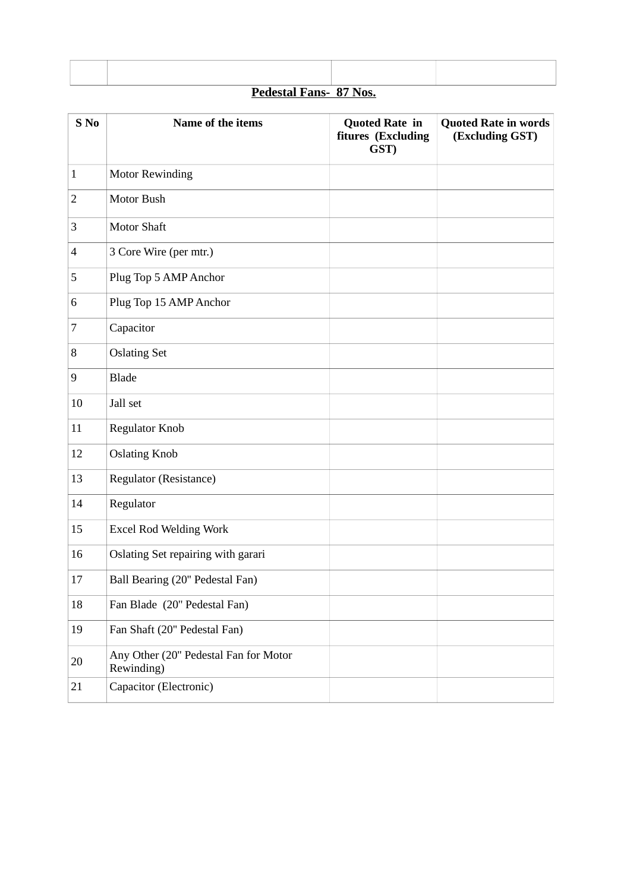|  | <b>Pedestal Fans- 87 Nos.</b> |  |
|--|-------------------------------|--|
|  |                               |  |

| S <sub>No</sub> | Name of the items                                   | <b>Quoted Rate in</b><br>fitures (Excluding<br>GST) | <b>Quoted Rate in words</b><br>(Excluding GST) |
|-----------------|-----------------------------------------------------|-----------------------------------------------------|------------------------------------------------|
| $\mathbf{1}$    | <b>Motor Rewinding</b>                              |                                                     |                                                |
| $\overline{2}$  | Motor Bush                                          |                                                     |                                                |
| 3               | <b>Motor Shaft</b>                                  |                                                     |                                                |
| $\overline{4}$  | 3 Core Wire (per mtr.)                              |                                                     |                                                |
| 5               | Plug Top 5 AMP Anchor                               |                                                     |                                                |
| 6               | Plug Top 15 AMP Anchor                              |                                                     |                                                |
| 7               | Capacitor                                           |                                                     |                                                |
| 8               | <b>Oslating Set</b>                                 |                                                     |                                                |
| $9$             | <b>Blade</b>                                        |                                                     |                                                |
| 10              | Jall set                                            |                                                     |                                                |
| 11              | <b>Regulator Knob</b>                               |                                                     |                                                |
| 12              | <b>Oslating Knob</b>                                |                                                     |                                                |
| 13              | Regulator (Resistance)                              |                                                     |                                                |
| 14              | Regulator                                           |                                                     |                                                |
| 15              | <b>Excel Rod Welding Work</b>                       |                                                     |                                                |
| 16              | Oslating Set repairing with garari                  |                                                     |                                                |
| 17              | Ball Bearing (20" Pedestal Fan)                     |                                                     |                                                |
| 18              | Fan Blade (20" Pedestal Fan)                        |                                                     |                                                |
| 19              | Fan Shaft (20" Pedestal Fan)                        |                                                     |                                                |
| 20              | Any Other (20" Pedestal Fan for Motor<br>Rewinding) |                                                     |                                                |
| 21              | Capacitor (Electronic)                              |                                                     |                                                |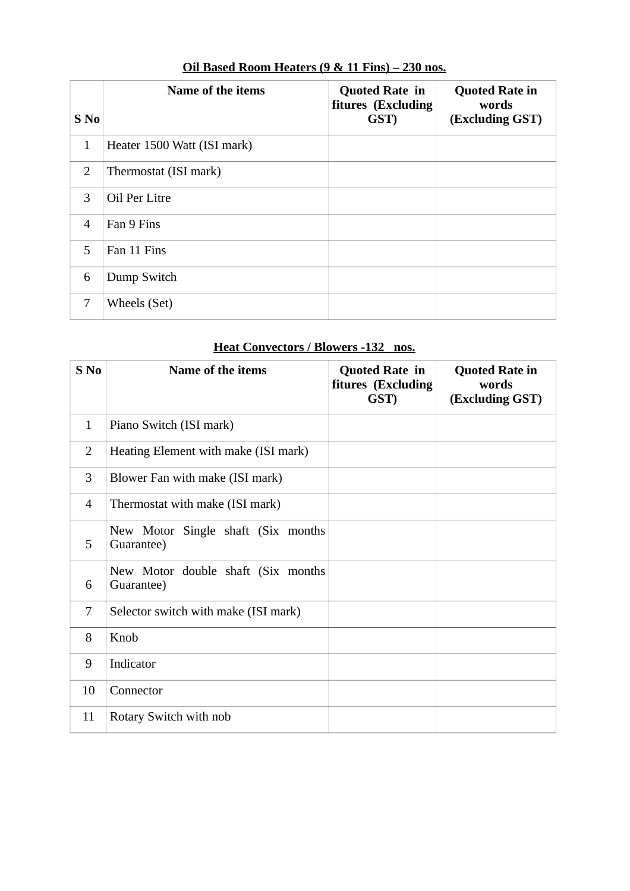| $S$ No         | Name of the items           | <b>Quoted Rate in</b><br>fitures (Excluding<br>GST) | <b>Quoted Rate in</b><br>words<br>(Excluding GST) |
|----------------|-----------------------------|-----------------------------------------------------|---------------------------------------------------|
| $\mathbf{1}$   | Heater 1500 Watt (ISI mark) |                                                     |                                                   |
| $\overline{2}$ | Thermostat (ISI mark)       |                                                     |                                                   |
| 3              | Oil Per Litre               |                                                     |                                                   |
| $\overline{4}$ | Fan 9 Fins                  |                                                     |                                                   |
| 5              | Fan 11 Fins                 |                                                     |                                                   |
| 6              | Dump Switch                 |                                                     |                                                   |
| 7              | Wheels (Set)                |                                                     |                                                   |

# **Oil Based Room Heaters (9 & 11 Fins) – 230 nos.**

# **Heat Convectors / Blowers -132 nos.**

| S <sub>No</sub> | Name of the items                                | <b>Quoted Rate in</b><br>fitures (Excluding<br>GST) | <b>Quoted Rate in</b><br>words<br>(Excluding GST) |
|-----------------|--------------------------------------------------|-----------------------------------------------------|---------------------------------------------------|
| $\mathbf{1}$    | Piano Switch (ISI mark)                          |                                                     |                                                   |
| $\overline{2}$  | Heating Element with make (ISI mark)             |                                                     |                                                   |
| 3               | Blower Fan with make (ISI mark)                  |                                                     |                                                   |
| 4               | Thermostat with make (ISI mark)                  |                                                     |                                                   |
| 5               | New Motor Single shaft (Six months<br>Guarantee) |                                                     |                                                   |
| 6               | New Motor double shaft (Six months<br>Guarantee) |                                                     |                                                   |
| 7               | Selector switch with make (ISI mark)             |                                                     |                                                   |
| 8               | Knob                                             |                                                     |                                                   |
| 9               | Indicator                                        |                                                     |                                                   |
| 10              | Connector                                        |                                                     |                                                   |
| 11              | Rotary Switch with nob                           |                                                     |                                                   |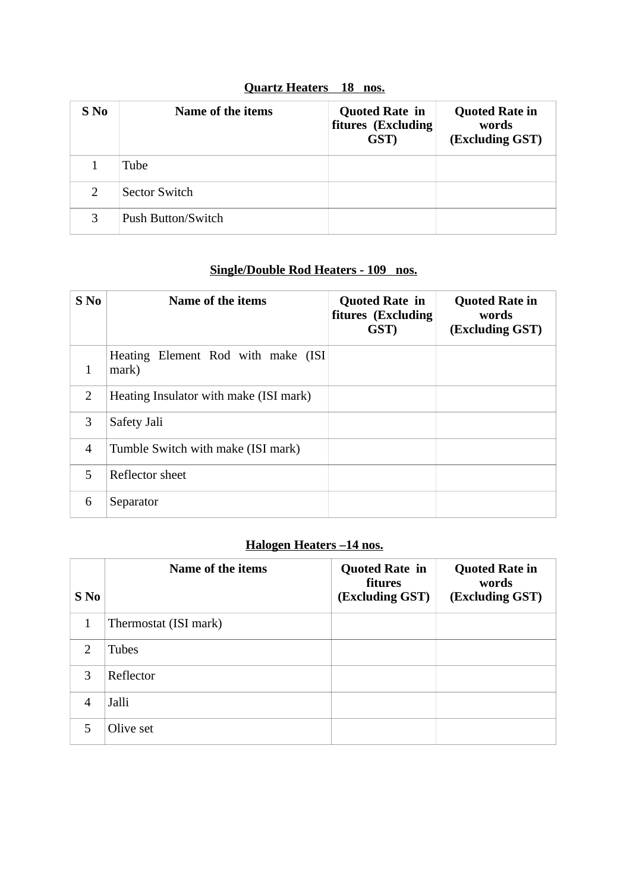| <b>Quartz Heaters</b> 18 nos. |  |
|-------------------------------|--|
|                               |  |

| S No          | Name of the items    | <b>Quoted Rate in</b><br>fitures (Excluding<br>GST) | <b>Quoted Rate in</b><br>words<br>(Excluding GST) |
|---------------|----------------------|-----------------------------------------------------|---------------------------------------------------|
|               | Tube                 |                                                     |                                                   |
| $\mathcal{P}$ | <b>Sector Switch</b> |                                                     |                                                   |
|               | Push Button/Switch   |                                                     |                                                   |

## **Single/Double Rod Heaters - 109 nos.**

| $S$ No        | Name of the items                            | <b>Quoted Rate in</b><br>fitures (Excluding<br>GST) | <b>Quoted Rate in</b><br>words<br>(Excluding GST) |
|---------------|----------------------------------------------|-----------------------------------------------------|---------------------------------------------------|
| 1             | Heating Element Rod with make (ISI)<br>mark) |                                                     |                                                   |
| $\mathcal{P}$ | Heating Insulator with make (ISI mark)       |                                                     |                                                   |
| 3             | Safety Jali                                  |                                                     |                                                   |
| 4             | Tumble Switch with make (ISI mark)           |                                                     |                                                   |
| 5.            | Reflector sheet                              |                                                     |                                                   |
| 6             | Separator                                    |                                                     |                                                   |

# **Halogen Heaters –14 nos.**

| S No           | Name of the items     | <b>Quoted Rate in</b><br>fitures<br>(Excluding GST) | <b>Quoted Rate in</b><br>words<br>(Excluding GST) |
|----------------|-----------------------|-----------------------------------------------------|---------------------------------------------------|
| 1              | Thermostat (ISI mark) |                                                     |                                                   |
| $\mathcal{D}$  | <b>Tubes</b>          |                                                     |                                                   |
| 3              | Reflector             |                                                     |                                                   |
| $\overline{4}$ | Jalli                 |                                                     |                                                   |
| 5.             | Olive set             |                                                     |                                                   |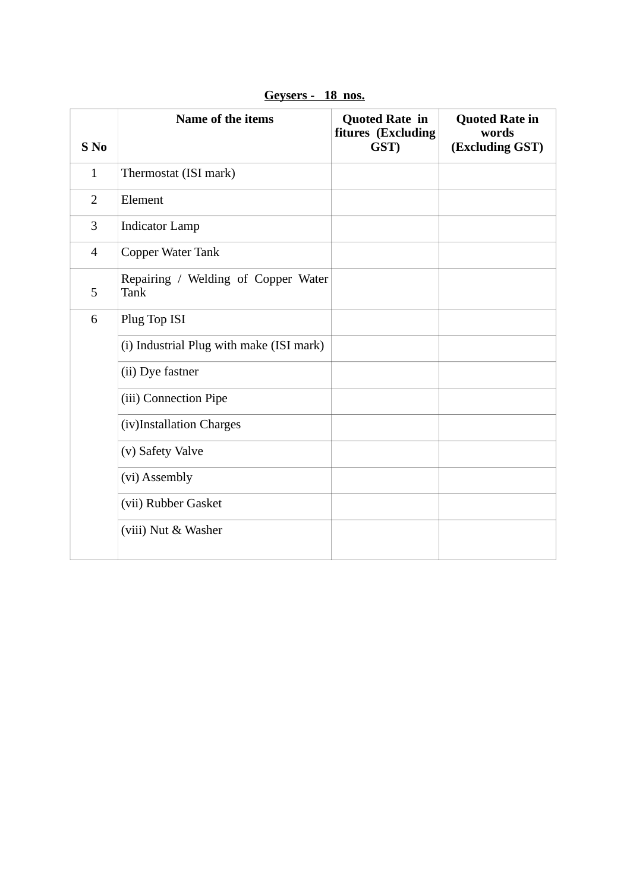| S <sub>No</sub> | <b>Name of the items</b>                           | <b>Quoted Rate in</b><br>fitures (Excluding<br>GST) | <b>Quoted Rate in</b><br>words<br>(Excluding GST) |
|-----------------|----------------------------------------------------|-----------------------------------------------------|---------------------------------------------------|
| $\mathbf{1}$    | Thermostat (ISI mark)                              |                                                     |                                                   |
| $\overline{2}$  | Element                                            |                                                     |                                                   |
| 3               | <b>Indicator Lamp</b>                              |                                                     |                                                   |
| $\overline{4}$  | Copper Water Tank                                  |                                                     |                                                   |
| 5               | Repairing / Welding of Copper Water<br><b>Tank</b> |                                                     |                                                   |
| 6               | Plug Top ISI                                       |                                                     |                                                   |
|                 | (i) Industrial Plug with make (ISI mark)           |                                                     |                                                   |
|                 | (ii) Dye fastner                                   |                                                     |                                                   |
|                 | (iii) Connection Pipe                              |                                                     |                                                   |
|                 | (iv)Installation Charges                           |                                                     |                                                   |
|                 | (v) Safety Valve                                   |                                                     |                                                   |
|                 | (vi) Assembly                                      |                                                     |                                                   |
|                 | (vii) Rubber Gasket                                |                                                     |                                                   |
|                 | (viii) Nut & Washer                                |                                                     |                                                   |

**Geysers - 18 nos.**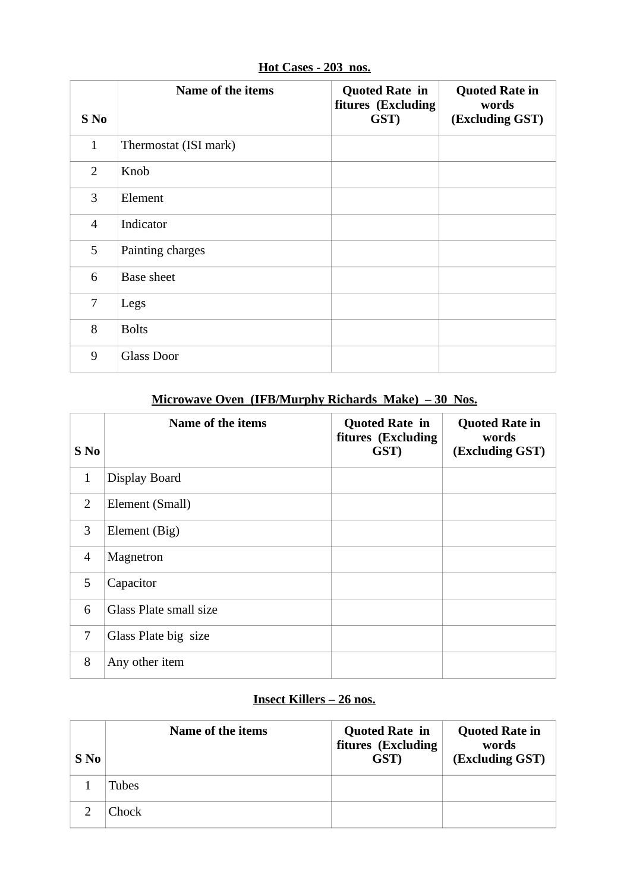| S No           | Name of the items     | <b>Quoted Rate in</b><br>fitures (Excluding<br>GST) | <b>Quoted Rate in</b><br>words<br>(Excluding GST) |
|----------------|-----------------------|-----------------------------------------------------|---------------------------------------------------|
| $\mathbf{1}$   | Thermostat (ISI mark) |                                                     |                                                   |
| $\overline{2}$ | Knob                  |                                                     |                                                   |
| 3              | Element               |                                                     |                                                   |
| $\overline{4}$ | Indicator             |                                                     |                                                   |
| 5              | Painting charges      |                                                     |                                                   |
| 6              | <b>Base sheet</b>     |                                                     |                                                   |
| $\overline{7}$ | Legs                  |                                                     |                                                   |
| 8              | <b>Bolts</b>          |                                                     |                                                   |
| 9              | <b>Glass Door</b>     |                                                     |                                                   |

**Hot Cases - 203 nos.**

# **Microwave Oven (IFB/Murphy Richards Make) – 30 Nos.**

| $S$ No         | Name of the items      | <b>Quoted Rate in</b><br>fitures (Excluding<br>GST) | <b>Quoted Rate in</b><br>words<br>(Excluding GST) |
|----------------|------------------------|-----------------------------------------------------|---------------------------------------------------|
| 1              | Display Board          |                                                     |                                                   |
| 2              | Element (Small)        |                                                     |                                                   |
| 3              | Element (Big)          |                                                     |                                                   |
| $\overline{4}$ | Magnetron              |                                                     |                                                   |
| 5              | Capacitor              |                                                     |                                                   |
| 6              | Glass Plate small size |                                                     |                                                   |
| 7              | Glass Plate big size   |                                                     |                                                   |
| 8              | Any other item         |                                                     |                                                   |

## **Insect Killers – 26 nos.**

| S No | Name of the items | <b>Quoted Rate in</b><br>fitures (Excluding<br>GST) | <b>Quoted Rate in</b><br>words<br>(Excluding GST) |
|------|-------------------|-----------------------------------------------------|---------------------------------------------------|
|      | Tubes             |                                                     |                                                   |
|      | Chock             |                                                     |                                                   |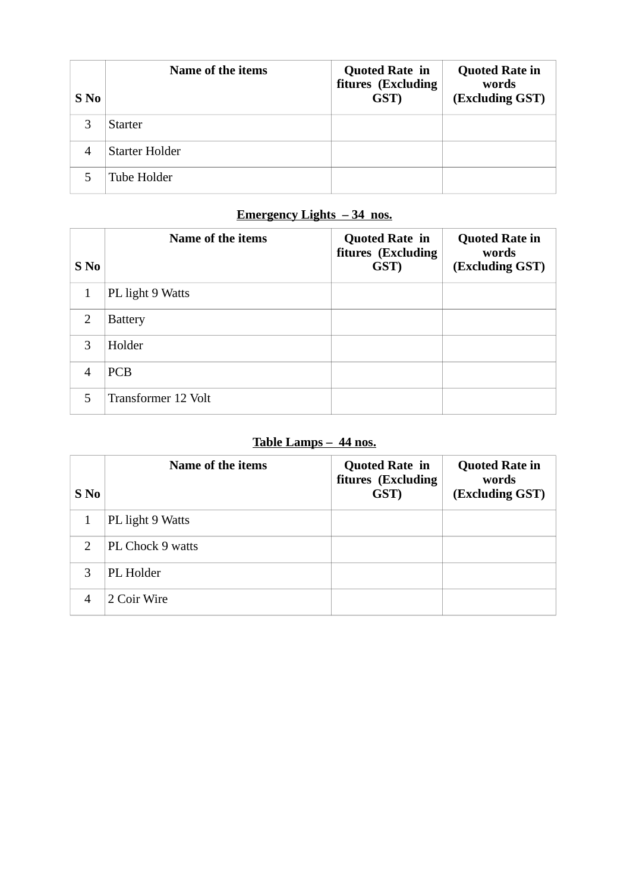| S No           | Name of the items | <b>Quoted Rate in</b><br>fitures (Excluding<br>GST) | <b>Quoted Rate in</b><br>words<br>(Excluding GST) |
|----------------|-------------------|-----------------------------------------------------|---------------------------------------------------|
|                | <b>Starter</b>    |                                                     |                                                   |
| $\overline{4}$ | Starter Holder    |                                                     |                                                   |
|                | Tube Holder       |                                                     |                                                   |

# **Emergency Lights – 34 nos.**

| S No           | Name of the items   | <b>Quoted Rate in</b><br>fitures (Excluding<br>GST) | <b>Quoted Rate in</b><br>words<br>(Excluding GST) |
|----------------|---------------------|-----------------------------------------------------|---------------------------------------------------|
| 1              | PL light 9 Watts    |                                                     |                                                   |
| 2              | <b>Battery</b>      |                                                     |                                                   |
| 3              | Holder              |                                                     |                                                   |
| $\overline{4}$ | <b>PCB</b>          |                                                     |                                                   |
| 5              | Transformer 12 Volt |                                                     |                                                   |

## **Table Lamps – 44 nos.**

| S No          | Name of the items | <b>Quoted Rate in</b><br>fitures (Excluding<br>GST) | <b>Quoted Rate in</b><br>words<br>(Excluding GST) |
|---------------|-------------------|-----------------------------------------------------|---------------------------------------------------|
|               | PL light 9 Watts  |                                                     |                                                   |
| $\mathcal{L}$ | PL Chock 9 watts  |                                                     |                                                   |
| 3             | PL Holder         |                                                     |                                                   |
|               | 2 Coir Wire       |                                                     |                                                   |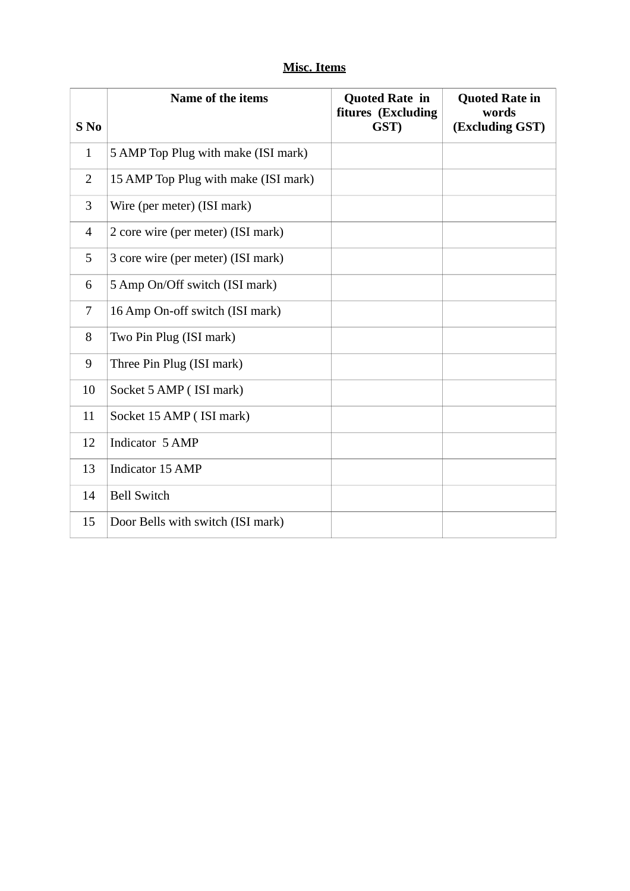## **Misc. Items**

|                          | Name of the items                    | <b>Quoted Rate in</b><br>fitures (Excluding | <b>Quoted Rate in</b><br>words |
|--------------------------|--------------------------------------|---------------------------------------------|--------------------------------|
| S <sub>No</sub>          |                                      | GST)                                        | (Excluding GST)                |
| $\mathbf{1}$             | 5 AMP Top Plug with make (ISI mark)  |                                             |                                |
| $\overline{2}$           | 15 AMP Top Plug with make (ISI mark) |                                             |                                |
| 3                        | Wire (per meter) (ISI mark)          |                                             |                                |
| $\overline{\mathcal{A}}$ | 2 core wire (per meter) (ISI mark)   |                                             |                                |
| 5                        | 3 core wire (per meter) (ISI mark)   |                                             |                                |
| 6                        | 5 Amp On/Off switch (ISI mark)       |                                             |                                |
| $\overline{7}$           | 16 Amp On-off switch (ISI mark)      |                                             |                                |
| 8                        | Two Pin Plug (ISI mark)              |                                             |                                |
| 9                        | Three Pin Plug (ISI mark)            |                                             |                                |
| 10                       | Socket 5 AMP (ISI mark)              |                                             |                                |
| 11                       | Socket 15 AMP (ISI mark)             |                                             |                                |
| 12                       | Indicator 5 AMP                      |                                             |                                |
| 13                       | <b>Indicator 15 AMP</b>              |                                             |                                |
| 14                       | <b>Bell Switch</b>                   |                                             |                                |
| 15                       | Door Bells with switch (ISI mark)    |                                             |                                |